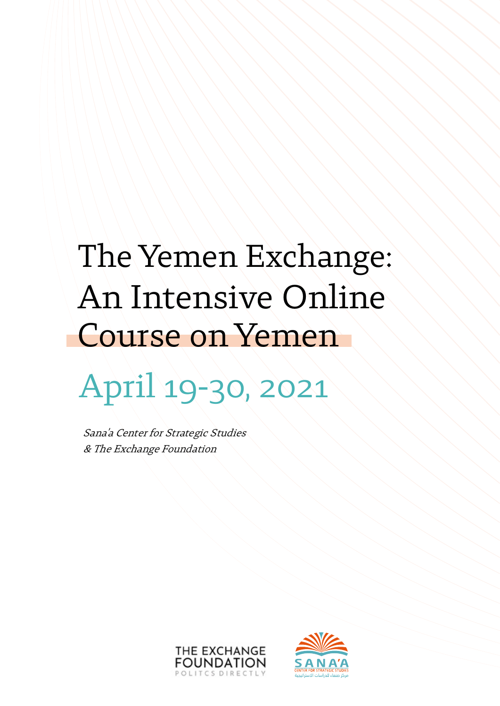# The Yemen Exchange: An Intensive Online Course on Yemen

# April 19-30, 2021

Sana'a Center for Strategic Studies & The Exchange Foundation



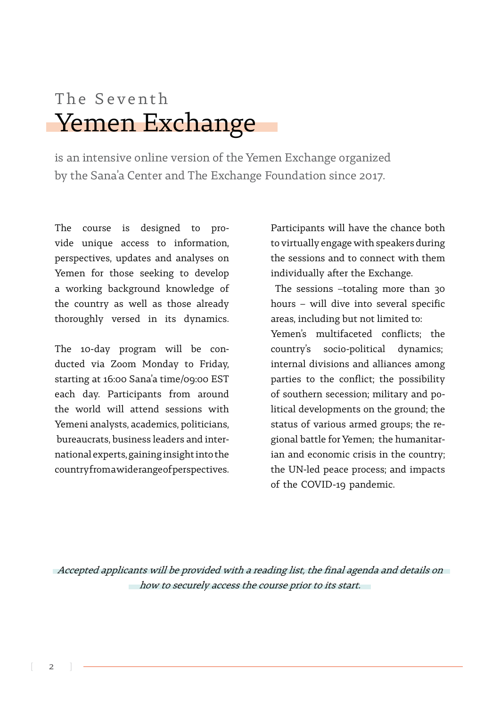# Yemen Exchange The Seventh

is an intensive online version of the Yemen Exchange organized by the Sana'a Center and The Exchange Foundation since 2017.

The course is designed to pro-<br>vide unique access to information, The course is designed to perspectives, updates and analyses on Yemen for those seeking to develop a working background knowledge of the country as well as those already thoroughly versed in its dynamics.

ducted via Zoom Monday to Friday, The 10-day program will be constarting at 16:00 Sana'a time/09:00 EST each day. Participants from around the world will attend sessions with Yemeni analysts, academics, politicians, national experts, gaining insight into the bureaucrats, business leaders and intercountry from a wide range of perspectives.

Participants will have the chance both to virtually engage with speakers during the sessions and to connect with them individually after the Exchange.

The sessions  $-totaling$  more than 30 hours – will dive into several specific areas, including but not limited to:

Yemen's multifaceted conflicts; the country's socio-political dynamics; internal divisions and alliances among parties to the conflict; the possibility litical developments on the ground; the of southern secession; military and poian and economic crisis in the country: gional battle for Yemen; the humanitarstatus of various armed groups; the rethe UN-led peace process; and impacts of the COVID-19 pandemic.

Accepted applicants will be provided with a reading list, the final agenda and details on how to securely access the course prior to its start.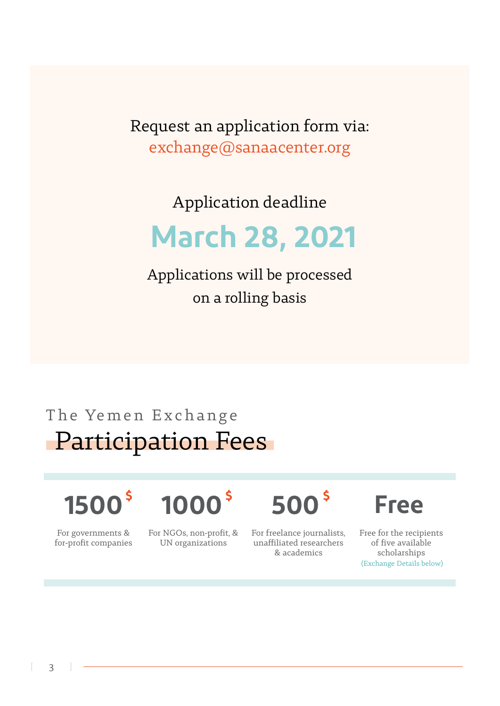Request an application form via: exchange@sanaacenter.org

Application deadline

# **2021 28, March**

Applications will be processed on a rolling basis

# **Participation Fees** The Yemen Exchange

# **\$ \$ 1500\$ Free 500 1000**

Free for the recipients of five available scholarships (Exchange Details below)

For governments & for-profit companies For NGOs, non-profit, & UN organizations

For freelance journalists, unaffiliated researchers academics&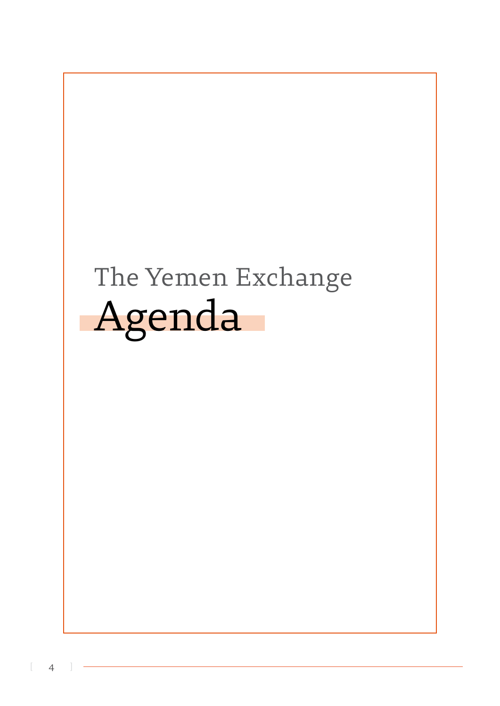# Agenda The Yemen Exchange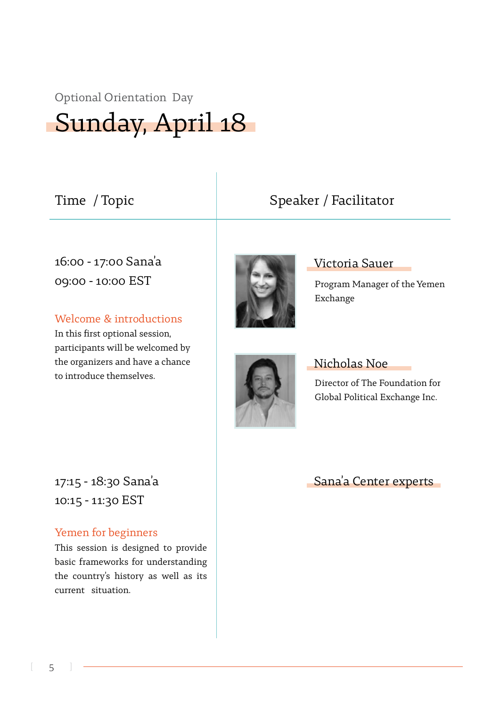#### Optional Orientation Day

Sunday, April 18

Time / Topic  $\qquad \qquad$  Speaker / Facilitator

16:00 - 17:00 Sana'a 09:00 - 10:00 EST

Welcome & introductions

In this first optional session, participants will be welcomed by the organizers and have a chance to introduce themselves.



#### Victoria Sauer

Program Manager of the Yemen Exchange



#### Nicholas Noe

Director of The Foundation for Global Political Exchange Inc.

Sana'a Center experts

17:15 - 18:30 Sana'a 10:15 - 11:30 EST

#### Yemen for beginners

This session is designed to provide basic frameworks for understanding the country's history as well as its current situation.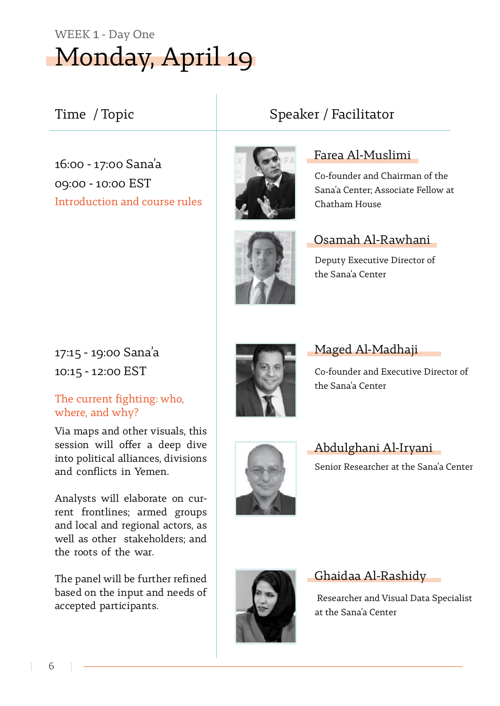# Monday, April 19 WEEK 1 - Day One

### Time / Topic **1988** Speaker / Facilitator

16:00 - 17:00 Sana'a 09:00 - 10:00 EST Introduction and course rules



# Farea Al-Muslimi

Co-founder and Chairman of the Sana'a Center: Associate Fellow at Chatham House



#### Osamah Al-Rawhani

Deputy Executive Director of the Sana'a Center

17:15 - 19:00 Sana'a 10:15 - 12:00 EST

#### The current fighting: who, where, and why?

Via maps and other visuals, this session will offer a deep dive into political alliances, divisions and conflicts in Yemen.

rent frontlines; armed groups Analysts will elaborate on curand local and regional actors, as well as other stakeholders; and the roots of the war.

The panel will be further refined based on the input and needs of accepted participants.



Maged Al-Madhaji

Co-founder and Executive Director of the Sana'a Center



#### Abdulghani Al-Iryani Senior Researcher at the Sana'a Center



#### Ghaidaa Al-Rashidy

Researcher and Visual Data Specialist at the Sana'a Center

6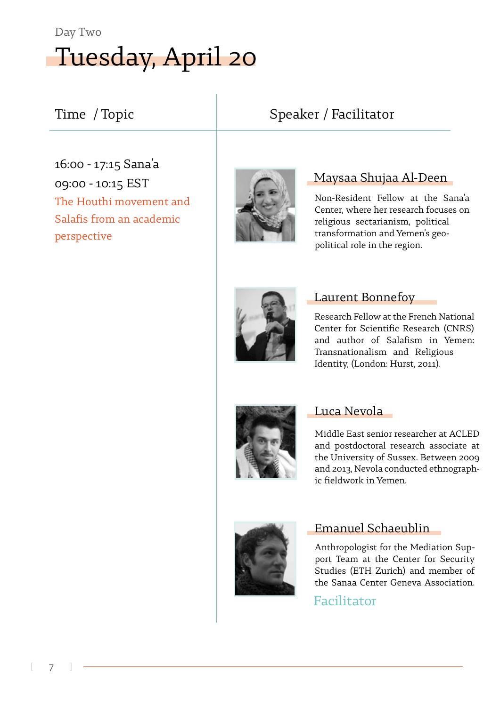# Tuesday, April 20 Day Two

16:00 - 17:15 Sana'a 09:00 - 10:15 EST The Houthi movement and Salafis from an academic perspective



### Time / Topic  $\qquad \qquad$  Speaker / Facilitator

#### Maysaa Shujaa Al-Deen

Non-Resident Fellow at the Sana'a Center, where her research focuses on religious sectarianism, political transformation and Yemen's geo-<br>political role in the region.



#### Laurent Bonnefoy

Research Fellow at the French National Center for Scientific Research (CNRS) and author of Salafism in Yemen: Transnationalism and Religious Identity, (London: Hurst, 2011).



#### Luca Nevola

Middle East senior researcher at ACLED and postdoctoral research associate at the University of Sussex. Between 2009 and 2013, Nevola conducted ethnographic fieldwork in Yemen.



#### Emanuel Schaeublin

port Team at the Center for Security Anthropologist for the Mediation Sup-Studies (ETH Zurich) and member of the Sanaa Center Geneva Association.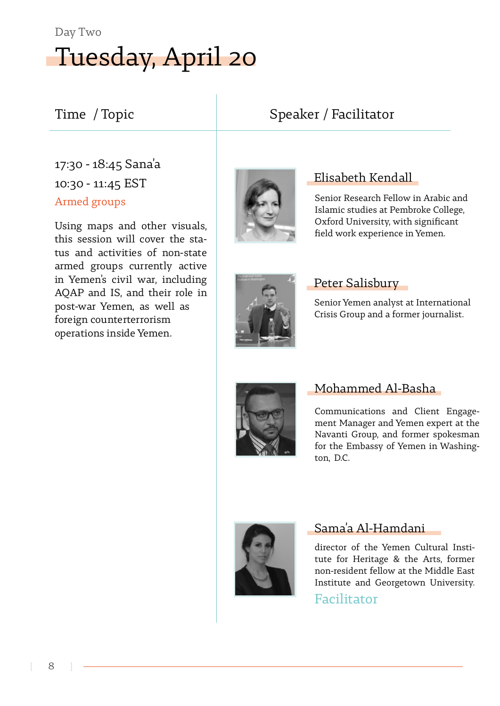# Tuesday, April 20 Day Two

## Time / Topic  $\qquad \qquad$  Speaker / Facilitator

### 17:30 - 18:45 Sana'a  $10:30 - 11:45$  EST Armed groups

Using maps and other visuals, tus and activities of non-state this session will cover the staarmed groups currently active in Yemen's civil war, including AOAP and IS, and their role in post-war Yemen, as well as foreign counterterrorism operations inside Yemen.



#### Elisabeth Kendall

Senior Research Fellow in Arabic and Islamic studies at Pembroke College, Oxford University, with significant field work experience in Yemen.



#### Peter Salisbury

Senior Yemen analyst at International Crisis Group and a former journalist.



#### Mohammed Al-Basha

Communications and Client Engage-<br>ment Manager and Yemen expert at the Navanti Group, and former spokesman for the Embassy of Yemen in Washing-<br>ton, D.C.



#### Sama'a Al-Hamdani

tute for Heritage & the Arts, former director of the Yemen Cultural Instinon-resident fellow at the Middle East Institute and Georgetown University.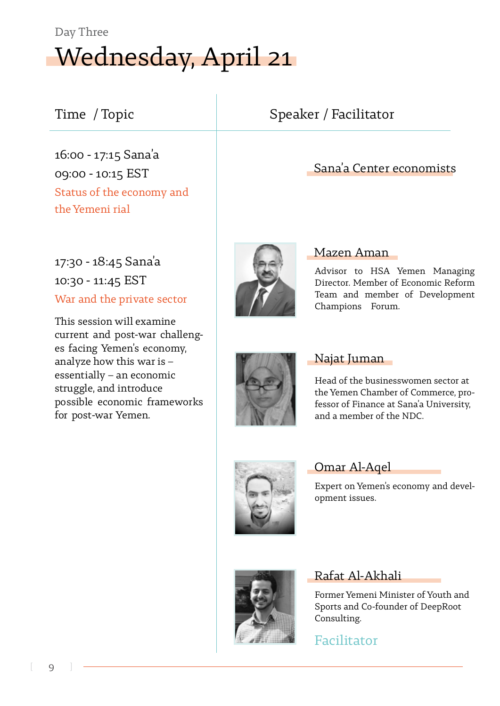# Wednesday, April 21 Day Three

16:00 - 17:15 Sana'a 09:00 - 10:15 EST Status of the economy and the Yemeni rial

### 17:30 - 18:45 Sana'a  $10:30 - 11:45$  EST War and the private sector

This session will examine es facing Yemen's economy, current and post-war challenganalyze how this war is  $$  $essentially - an economic$ struggle, and introduce possible economic frameworks for post-war Yemen.

## Aman Mazen

Advisor to HSA Yemen Managing Director. Member of Economic Reform Team and member of Development Champions Forum.

Sana'a Center economists



#### Najat Juman

Head of the businesswomen sector at<br>the Yemen Chamber of Commerce, professor of Finance at Sana'a University, and a member of the NDC.



#### Omar Al-Aqel

Expert on Yemen's economy and devel-<br>opment issues.



#### Rafat Al-Akhali

Former Yemeni Minister of Youth and Sports and Co-founder of DeepRoot .Consulting

Facilitator

## Time / Topic **1988** Speaker / Facilitator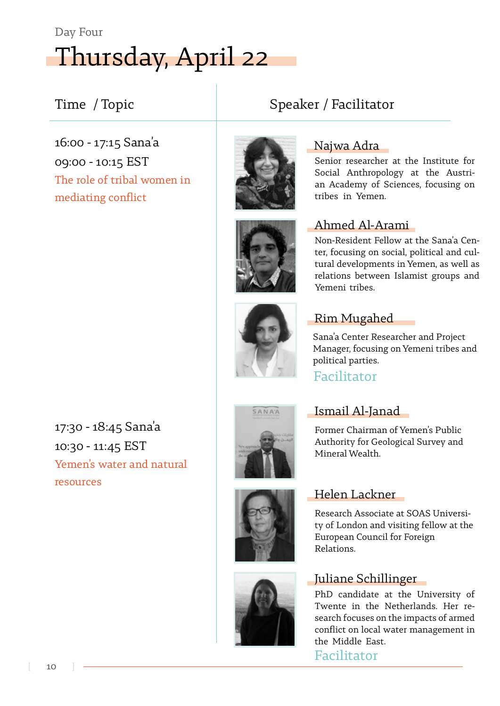# Thursday, April 22 Day Four

### Time / Topic  $\qquad \qquad$  Speaker / Facilitator

16:00 - 17:15 Sana'a 09:00 - 10:15 EST The role of tribal women in mediating conflict



Najwa Adra

Senior researcher at the Institute for<br>Social Anthropology at the Austrian Academy of Sciences, focusing on tribes in Yemen.

#### Ahmed Al-Arami

tural developments in Yemen, as well as ter, focusing on social, political and cul-Non-Resident Fellow at the Sana'a Cenrelations between Islamist groups and Yemeni tribes.

### **Rim Mugahed**

Sana'a Center Researcher and Project Manager, focusing on Yemeni tribes and political parties.

#### Facilitator

17:30 - 18:45 Sana'a 10:30 - 11:45 EST Yemen's water and natural resources





Former Chairman of Yemen's Public Authority for Geological Survey and Mineral Wealth.

#### Helen Lackner

Research Associate at SOAS University of London and visiting fellow at the European Council for Foreign .Relations

#### Juliane Schillinger

PhD candidate at the University of search focuses on the impacts of armed Twente in the Netherlands. Her reconflict on local water management in the Middle East.



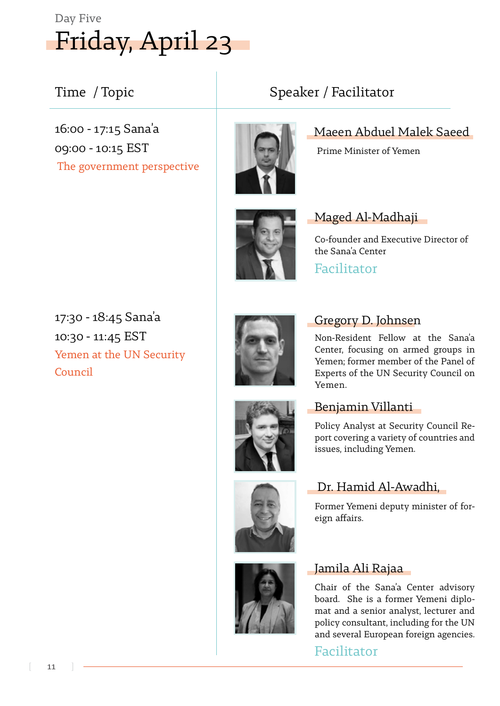# Friday, April 23 Day Five

16:00 - 17:15 Sana'a 09:00 - 10:15 EST The government perspective



Maeen Abduel Malek Saeed

Prime Minister of Yemen



#### Maged Al-Madhaji

Co-founder and Executive Director of the Sana'a Center

Facilitator

17:30 - 18:45 Sana'a 10:30 - 11:45 EST Yemen at the UN Security Council



#### Gregory D. Johnsen

Non-Resident Fellow at the Sana'a Center, focusing on armed groups in Yemen; former member of the Panel of Experts of the UN Security Council on .Yemen

#### Benjamin Villanti

port covering a variety of countries and Policy Analyst at Security Council Reissues, including Yemen.

#### Dr. Hamid Al-Awadhi,

Former Yemeni deputy minister of for-<br>eign affairs.

#### Jamila Ali Rajaa

Chair of the Sana'a Center advisory<br>board. She is a former Yemeni diplomat and a senior analyst, lecturer and policy consultant, including for the UN and several European foreign agencies.



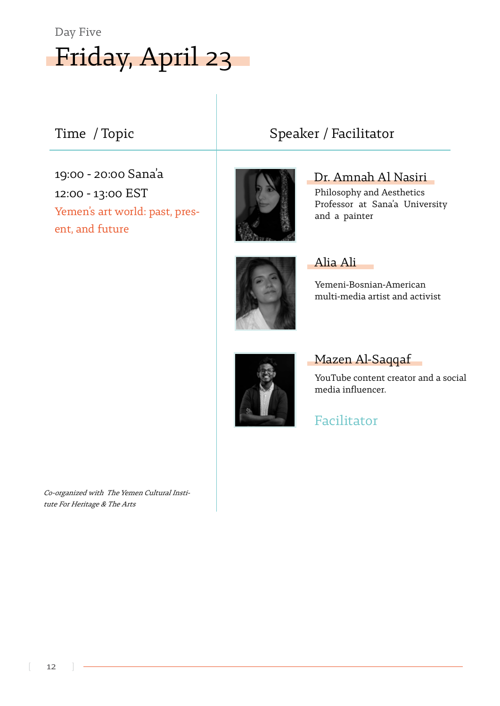

19:00 - 20:00 Sana'a 12:00 - 13:00 EST Yemen's art world: past, pres-<br>ent, and future



#### Time / Topic  $\qquad \qquad$  Speaker / Facilitator

Dr. Amnah Al Nasiri

Philosophy and Aesthetics Professor at Sana'a University and a painter



#### Alia Ali

Yemeni-Bosnian-American multi-media artist and activist



#### Mazen Al-Saqqaf

YouTube content creator and a social media influencer.

Facilitator

tute For Heritage & The Arts Co-organized with The Yemen Cultural Insti-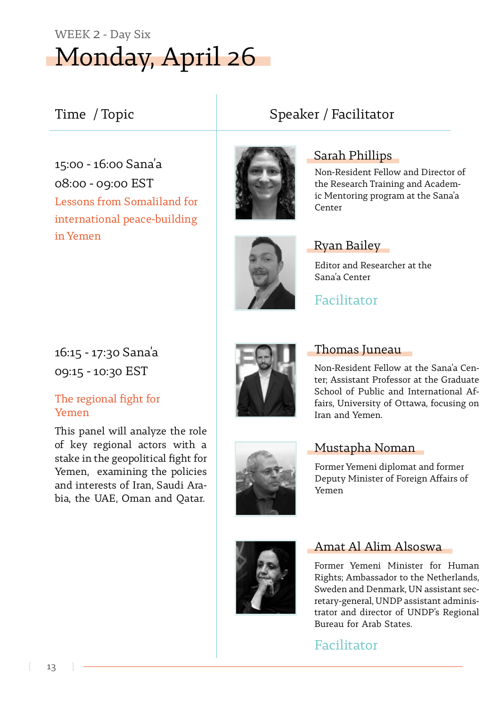# Monday, April 26 WEEK 2 - Day Six

### Time / Topic **1988** Speaker / Facilitator

15:00 - 16:00 Sana'a 08:00 - 09:00 EST Lessons from Somaliland for international peace-building in Vemen



Sarah Phillips

Non-Resident Fellow and Director of ic Mentoring program at the Sana'a the Research Training and Academ-Center



#### Ryan Bailey

Editor and Researcher at the Sana'a Center

Facilitator

16:15 - 17:30 Sana'a 09:15 - 10:30 EST

#### The regional fight for Yemen

This panel will analyze the role of key regional actors with a stake in the geopolitical fight for Yemen, examining the policies bia, the UAE, Oman and Oatar. and interests of Iran, Saudi Ara-



#### Thomas Juneau

ter: Assistant Professor at the Graduate Non-Resident Fellow at the Sana'a Cenfairs, University of Ottawa, focusing on School of Public and International Af-Iran and Yemen.



#### Mustapha Noman

Former Yemeni diplomat and former Deputy Minister of Foreign Affairs of Yemen



#### Amat Al Alim Alsoswa

Former Yemeni Minister for Human Rights; Ambassador to the Netherlands, retary-general, UNDP assistant adminis-<br>trator-and director of UNDP's Regional Sweden and Denmark, UN assistant sec-<br>retary-general, UNDP assistant adminis-Sweden and Denmark, UN assistant sec-Bureau for Arab States.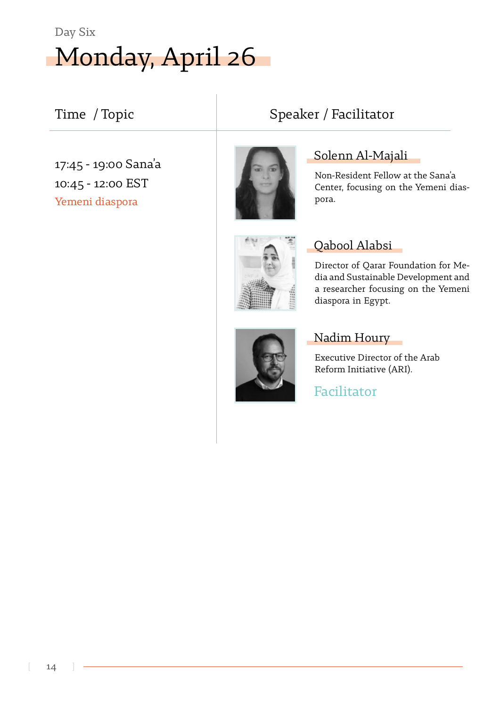

#### Time / Topic  $\qquad \qquad$  | Speaker / Facilitator

Yemeni diaspora 17:45 - 19:00 Sana'a 10:45 - 12:00 EST



Solenn Al-Majali

Non-Resident Fellow at the Sana'a Center, focusing on the Yemeni dias-<br>pora.



#### Qabool Alabsi

Director of Qarar Foundation for Me-<br>dia and Sustainable Development and a researcher focusing on the Yemeni diaspora in Egypt.



#### Nadim Houry

Executive Director of the Arab Reform Initiative (ARI).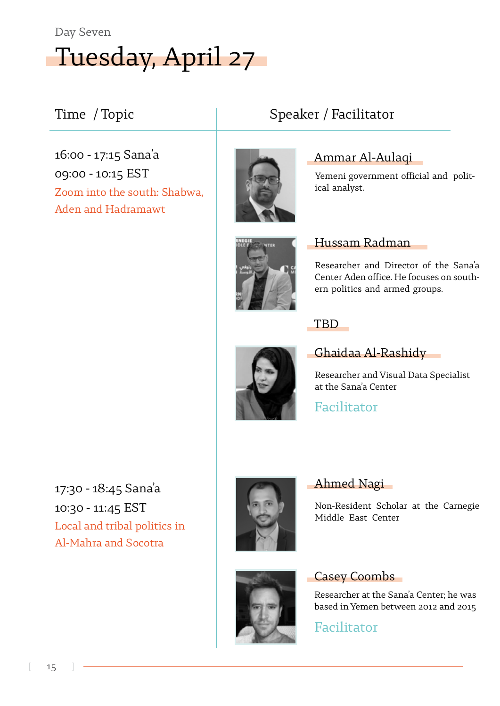

16:00 - 17:15 Sana'a 09:00 - 10:15 EST Zoom into the south: Shabwa, Aden and Hadramawt



### Time / Topic **1988** Speaker / Facilitator

#### Ammar Al-Aulaqi

Yemeni government official and polit-<br>ical analyst.



#### Radman Hussam

Researcher and Director of the Sana'a ern politics and armed groups. Center Aden office. He focuses on south-

TBD



#### **- Ghaidaa Al-Rashidy**

Researcher and Visual Data Specialist at the Sana'a Center

Facilitator

Ahmed Nagi

### 17:30 - 18:45 Sana'a 10:30 - 11:45 EST Local and tribal politics in Al-Mahra and Socotra





#### **Casey Coombs**

Middle East Center

Researcher at the Sana'a Center; he was based in Yemen between 2012 and 2015

Non-Resident Scholar at the Carnegie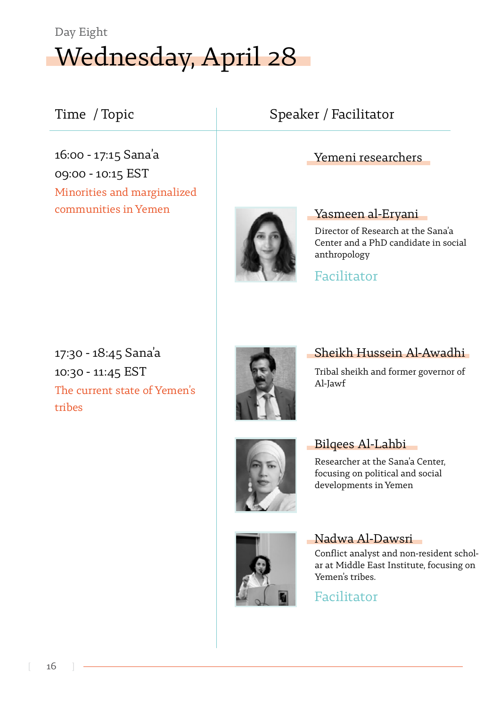# Wednesday, April 28 Day Eight

16:00 - 17:15 Sana'a 09:00 - 10:15 EST Minorities and marginalized communities in Yemen

## Time / Topic  $\vert$  Speaker / Facilitator

#### Yemeni researchers



#### Yasmeen al-Eryani

Director of Research at the Sana'a Center and a PhD candidate in social anthropology

Facilitator

17:30 - 18:45 Sana'a 10:30 - 11:45 EST The current state of Yemen's tribes



### Sheikh Hussein Al-Awadhi

Tribal sheikh and former governor of Al-Jawf



## Bilgees Al-Lahbi

Researcher at the Sana'a Center, focusing on political and social developments in Yemen



Nadwa Al-Dawsri<br>Conflict analyst and non-resident scholar at Middle East Institute, focusing on Yemen's tribes.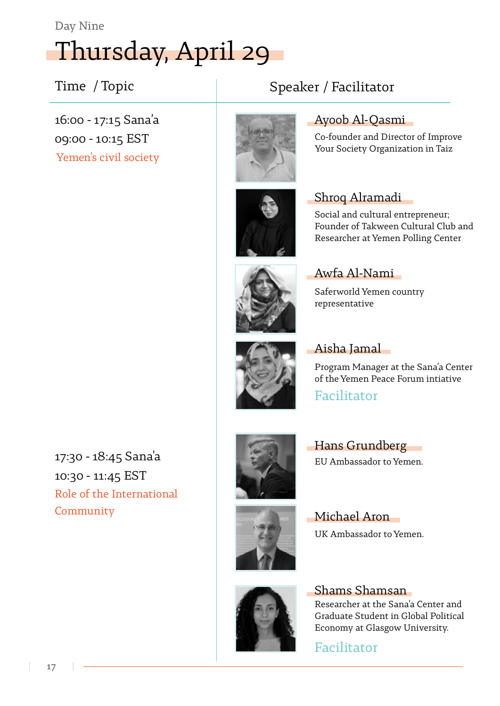Day Nine

# Thursday, April 29

### Time / Topic  $\vert$  Speaker / Facilitator

16:00 - 17:15 Sana'a 09:00 - 10:15 EST Yemen's civil society





#### Ayoob Al-Qasmi

Co-founder and Director of Improve Your Society Organization in Taiz

#### Shroq Alramadi

Social and cultural entrepreneur; Founder of Takween Cultural Club and Researcher at Yemen Polling Center

#### Awfa Al-Nami

Saferworld Yemen country representative

### **Aisha Jamal**

Program Manager at the Sana'a Center of the Yemen Peace Forum intiative

Facilitator





Hans Grundberg EU Ambassador to Yemen.



Michael Aron UK Ambassador to Yemen.

Shamsan Researcher at the Sana'a Center and Graduate Student in Global Political Economy at Glasgow University.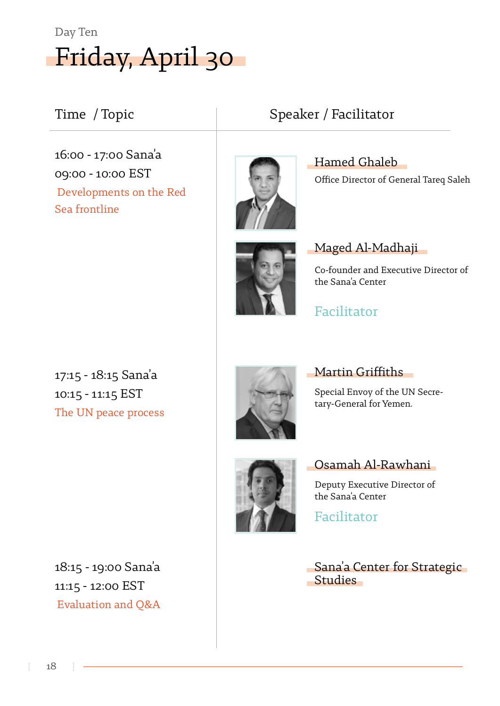

#### Time / Topic  $\vert$  Speaker / Facilitator

16:00 - 17:00 Sana'a 09:00 - 10:00 EST Developments on the Red Sea frontline



Hamed Ghaleb Office Director of General Tareq Saleh



Maged Al-Madhaji

Co-founder and Executive Director of the Sana'a Center

17:15 - 18:15 Sana'a 10:15 - 11:15 EST The UN peace process



#### Martin Griffiths

Facilitator

Special Envoy of the UN Secre-<br>tary-General for Yemen.



### Osamah Al-Rawhani

Deputy Executive Director of the Sana'a Center

Facilitator

Sana'a Center for Strategic Studies

18:15 - 19:00 Sana'a 11:15 - 12:00 EST Evaluation and Q&A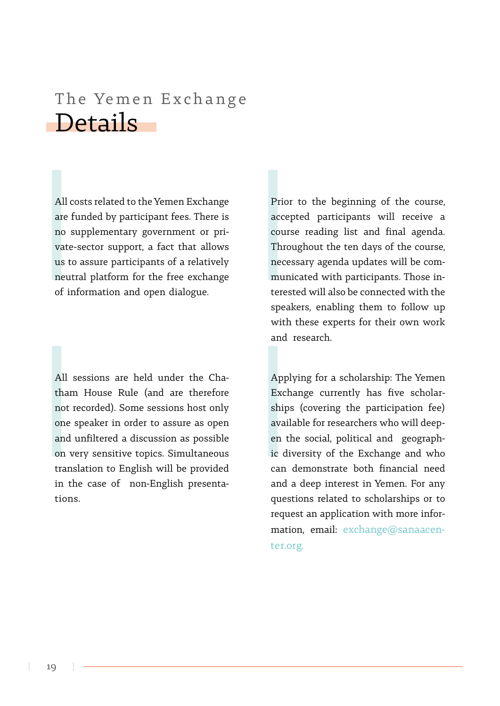# Details The Yemen Exchange

All costs related to the Yemen Exchange are funded by participant fees. There is vate-sector support, a fact that allows no supplementary government or prius to assure participants of a relatively neutral platform for the free exchange of information and open dialogue.

tham House Rule (and are therefore All sessions are held under the Chanot recorded). Some sessions host only one speaker in order to assure as open and unfiltered a discussion as possible on very sensitive topics. Simultaneous translation to English will be provided in the case of non-English presenta-<br>tions.

Prior to the beginning of the course, accepted participants will receive a course reading list and final agenda. Throughout the ten days of the course, terested will also be connected with the municated with participants. Those innecessary agenda updates will be comspeakers, enabling them to follow up with these experts for their own work and research

Applying for a scholarship: The Yemen ships (covering the participation fee) Exchange currently has five scholaric diversity of the Exchange and who en the social, political and geographavailable for researchers who will deepcan demonstrate both financial need and a deep interest in Yemen. For any questions related to scholarships or to mation, email: exchange@sanaacen-<br>ter.org. request an application with more infor-<br>mation, email: exchange@sanaacenrequest an application with more infor-